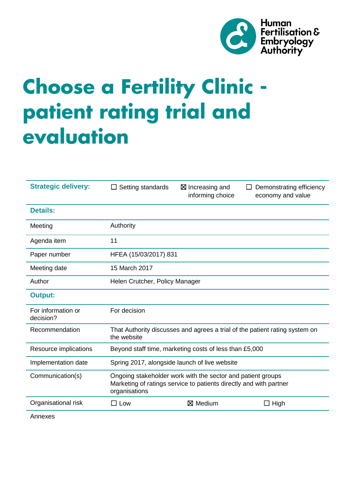

# **Choose a Fertility Clinic** patient rating trial and evaluation

| <b>Strategic delivery:</b>      | Setting standards                                                                                                                                  | $\boxtimes$ Increasing and<br>informing choice | Demonstrating efficiency<br>economy and value |
|---------------------------------|----------------------------------------------------------------------------------------------------------------------------------------------------|------------------------------------------------|-----------------------------------------------|
| <b>Details:</b>                 |                                                                                                                                                    |                                                |                                               |
| Meeting                         | Authority                                                                                                                                          |                                                |                                               |
| Agenda item                     | 11                                                                                                                                                 |                                                |                                               |
| Paper number                    | HFEA (15/03/2017) 831                                                                                                                              |                                                |                                               |
| Meeting date                    | 15 March 2017                                                                                                                                      |                                                |                                               |
| Author                          | Helen Crutcher, Policy Manager                                                                                                                     |                                                |                                               |
| <b>Output:</b>                  |                                                                                                                                                    |                                                |                                               |
| For information or<br>decision? | For decision                                                                                                                                       |                                                |                                               |
| Recommendation                  | That Authority discusses and agrees a trial of the patient rating system on<br>the website                                                         |                                                |                                               |
| Resource implications           | Beyond staff time, marketing costs of less than £5,000                                                                                             |                                                |                                               |
| Implementation date             | Spring 2017, alongside launch of live website                                                                                                      |                                                |                                               |
| Communication(s)                | Ongoing stakeholder work with the sector and patient groups<br>Marketing of ratings service to patients directly and with partner<br>organisations |                                                |                                               |
| Organisational risk             | Low<br>$\blacksquare$                                                                                                                              | ⊠ Medium                                       | $\Box$ High                                   |

Annexes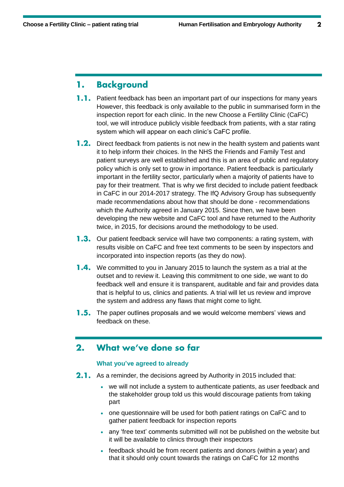#### **Background** 1.

- $1.1.$ Patient feedback has been an important part of our inspections for many years However, this feedback is only available to the public in summarised form in the inspection report for each clinic. In the new Choose a Fertility Clinic (CaFC) tool, we will introduce publicly visible feedback from patients, with a star rating system which will appear on each clinic's CaFC profile.
- **1.2.** Direct feedback from patients is not new in the health system and patients want it to help inform their choices. In the NHS the Friends and Family Test and patient surveys are well established and this is an area of public and regulatory policy which is only set to grow in importance. Patient feedback is particularly important in the fertility sector, particularly when a majority of patients have to pay for their treatment. That is why we first decided to include patient feedback in CaFC in our 2014-2017 strategy. The IfQ Advisory Group has subsequently made recommendations about how that should be done - recommendations which the Authority agreed in January 2015. Since then, we have been developing the new website and CaFC tool and have returned to the Authority twice, in 2015, for decisions around the methodology to be used.
- **1.3.** Our patient feedback service will have two components: a rating system, with results visible on CaFC and free text comments to be seen by inspectors and incorporated into inspection reports (as they do now).
- **1.4.** We committed to you in January 2015 to launch the system as a trial at the outset and to review it. Leaving this commitment to one side, we want to do feedback well and ensure it is transparent, auditable and fair and provides data that is helpful to us, clinics and patients. A trial will let us review and improve the system and address any flaws that might come to light.
- **1.5.** The paper outlines proposals and we would welcome members' views and feedback on these.

#### What we've done so far  $2.$

# **What you've agreed to already**

- **2.1.** As a reminder, the decisions agreed by Authority in 2015 included that:
	- we will not include a system to authenticate patients, as user feedback and the stakeholder group told us this would discourage patients from taking part
	- one questionnaire will be used for both patient ratings on CaFC and to gather patient feedback for inspection reports
	- any 'free text' comments submitted will not be published on the website but it will be available to clinics through their inspectors
	- feedback should be from recent patients and donors (within a year) and that it should only count towards the ratings on CaFC for 12 months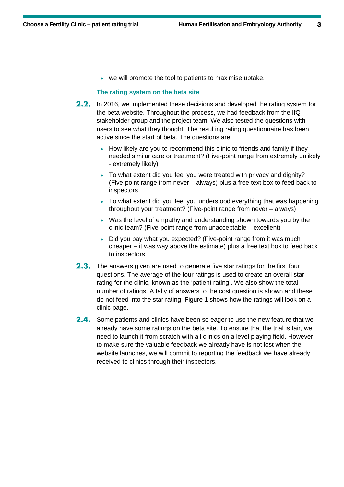we will promote the tool to patients to maximise uptake.

### **The rating system on the beta site**

- **2.2.** In 2016, we implemented these decisions and developed the rating system for the beta website. Throughout the process, we had feedback from the IfQ stakeholder group and the project team. We also tested the questions with users to see what they thought. The resulting rating questionnaire has been active since the start of beta. The questions are:
	- How likely are you to recommend this clinic to friends and family if they needed similar care or treatment? (Five-point range from extremely unlikely - extremely likely)
	- To what extent did you feel you were treated with privacy and dignity? (Five-point range from never – always) plus a free text box to feed back to inspectors
	- To what extent did you feel you understood everything that was happening throughout your treatment? (Five-point range from never – always)
	- Was the level of empathy and understanding shown towards you by the clinic team? (Five-point range from unacceptable – excellent)
	- Did you pay what you expected? (Five-point range from it was much cheaper – it was way above the estimate) plus a free text box to feed back to inspectors
- **2.3.** The answers given are used to generate five star ratings for the first four questions. The average of the four ratings is used to create an overall star rating for the clinic, known as the 'patient rating'. We also show the total number of ratings. A tally of answers to the cost question is shown and these do not feed into the star rating. Figure 1 shows how the ratings will look on a clinic page.
- 2.4. Some patients and clinics have been so eager to use the new feature that we already have some ratings on the beta site. To ensure that the trial is fair, we need to launch it from scratch with all clinics on a level playing field. However, to make sure the valuable feedback we already have is not lost when the website launches, we will commit to reporting the feedback we have already received to clinics through their inspectors.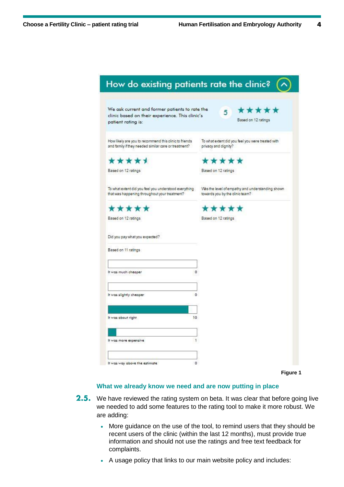$\overline{\mathbf{4}}$ 

| We ask current and former patients to rate the<br>clinic based on their experience. This clinic's<br>patient rating is: | *****<br>5.<br>Based on 12 ratings                                                  |
|-------------------------------------------------------------------------------------------------------------------------|-------------------------------------------------------------------------------------|
| How likely are you to recommend this clinic to friends<br>and family if they needed similar care or treatment?          | To what extent did you feel you were treated with<br>privacy and dignity?           |
| *****                                                                                                                   | *****                                                                               |
| Based on 12 ratings                                                                                                     | Based on 12 ratings                                                                 |
| To what extent did you feel you understood everything<br>that was happening throughout your treatment?                  | Was the level of empathy and understanding shown<br>towards you by the clinic team? |
| *****                                                                                                                   | *****                                                                               |
| Based on 12 ratings                                                                                                     | Based on 12 ratings                                                                 |
| Did you pay what you expected?<br>Based on 11 ratings                                                                   |                                                                                     |
|                                                                                                                         |                                                                                     |
| It was much cheaper                                                                                                     | 0                                                                                   |
|                                                                                                                         |                                                                                     |
| It was slightly cheaper                                                                                                 | $\alpha$                                                                            |
|                                                                                                                         |                                                                                     |
|                                                                                                                         | 10                                                                                  |
| It was about right.                                                                                                     |                                                                                     |
|                                                                                                                         |                                                                                     |
| It was more expensive                                                                                                   | 1                                                                                   |

## **What we already know we need and are now putting in place**

- **2.5.** We have reviewed the rating system on beta. It was clear that before going live we needed to add some features to the rating tool to make it more robust. We are adding:
	- More guidance on the use of the tool, to remind users that they should be recent users of the clinic (within the last 12 months), must provide true information and should not use the ratings and free text feedback for complaints.
	- A usage policy that links to our main website policy and includes: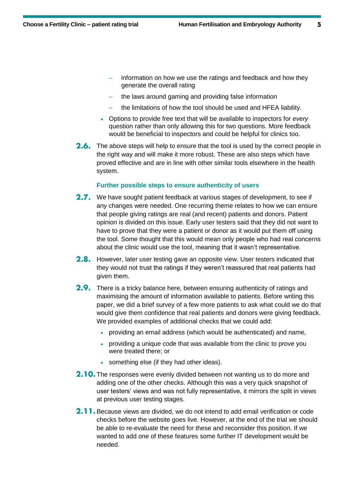5

- information on how we use the ratings and feedback and how they generate the overall rating
- the laws around gaming and providing false information
- the limitations of how the tool should be used and HFEA liability.
- Options to provide free text that will be available to inspectors for *every* question rather than only allowing this for two questions. More feedback would be beneficial to inspectors and could be helpful for clinics too.
- 2.6. The above steps will help to ensure that the tool is used by the correct people in the right way and will make it more robust. These are also steps which have proved effective and are in line with other similar tools elsewhere in the health system.

## **Further possible steps to ensure authenticity of users**

- 2.7. We have sought patient feedback at various stages of development, to see if any changes were needed. One recurring theme relates to how we can ensure that people giving ratings are real (and recent) patients and donors. Patient opinion is divided on this issue. Early user testers said that they did not want to have to prove that they were a patient or donor as it would put them off using the tool. Some thought that this would mean only people who had real concerns about the clinic would use the tool, meaning that it wasn't representative.
- 2.8. However, later user testing gave an opposite view. User testers indicated that they would not trust the ratings if they weren't reassured that real patients had given them.
- 2.9. There is a tricky balance here, between ensuring authenticity of ratings and maximising the amount of information available to patients. Before writing this paper, we did a brief survey of a few more patients to ask what could we do that would give them confidence that real patients and donors were giving feedback. We provided examples of additional checks that we could add:
	- providing an email address (which would be authenticated) and name,
	- providing a unique code that was available from the clinic to prove you were treated there; or
	- something else (if they had other ideas).
- **2.10.** The responses were evenly divided between not wanting us to do more and adding one of the other checks. Although this was a very quick snapshot of user testers' views and was not fully representative, it mirrors the split in views at previous user testing stages.
- **2.11.** Because views are divided, we do not intend to add email verification or code checks before the website goes live. However, at the end of the trial we should be able to re-evaluate the need for these and reconsider this position. If we wanted to add one of these features some further IT development would be needed.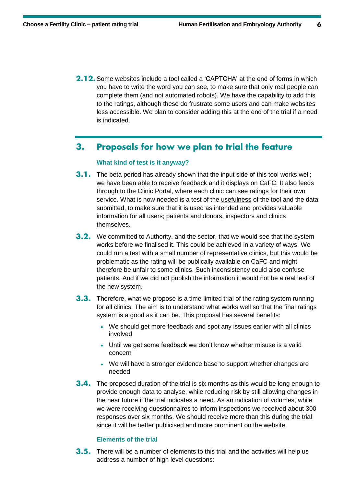**2.12.** Some websites include a tool called a 'CAPTCHA' at the end of forms in which you have to write the word you can see, to make sure that only real people can complete them (and not automated robots). We have the capability to add this to the ratings, although these do frustrate some users and can make websites less accessible. We plan to consider adding this at the end of the trial if a need is indicated.

#### Proposals for how we plan to trial the feature  $3.$

# **What kind of test is it anyway?**

- **3.1.** The beta period has already shown that the input side of this tool works well; we have been able to receive feedback and it displays on CaFC. It also feeds through to the Clinic Portal, where each clinic can see ratings for their own service. What is now needed is a test of the usefulness of the tool and the data submitted, to make sure that it is used as intended and provides valuable information for all users; patients and donors, inspectors and clinics themselves.
- **3.2.** We committed to Authority, and the sector, that we would see that the system works before we finalised it. This could be achieved in a variety of ways. We could run a test with a small number of representative clinics, but this would be problematic as the rating will be publically available on CaFC and might therefore be unfair to some clinics. Such inconsistency could also confuse patients. And if we did not publish the information it would not be a real test of the new system.
- **3.3.** Therefore, what we propose is a time-limited trial of the rating system running for all clinics. The aim is to understand what works well so that the final ratings system is a good as it can be. This proposal has several benefits:
	- We should get more feedback and spot any issues earlier with all clinics involved
	- Until we get some feedback we don't know whether misuse is a valid concern
	- We will have a stronger evidence base to support whether changes are needed
- **3.4.** The proposed duration of the trial is six months as this would be long enough to provide enough data to analyse, while reducing risk by still allowing changes in the near future if the trial indicates a need. As an indication of volumes, while we were receiving questionnaires to inform inspections we received about 300 responses over six months. We should receive more than this during the trial since it will be better publicised and more prominent on the website.

# **Elements of the trial**

**3.5.** There will be a number of elements to this trial and the activities will help us address a number of high level questions: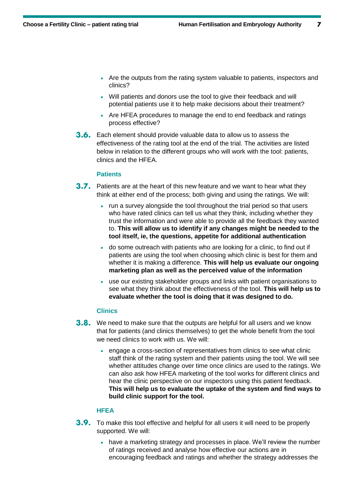- Are the outputs from the rating system valuable to patients, inspectors and clinics?
- Will patients and donors use the tool to give their feedback and will potential patients use it to help make decisions about their treatment?
- Are HFEA procedures to manage the end to end feedback and ratings process effective?
- **3.6.** Each element should provide valuable data to allow us to assess the effectiveness of the rating tool at the end of the trial. The activities are listed below in relation to the different groups who will work with the tool: patients, clinics and the HFEA.

## **Patients**

- 3.7. Patients are at the heart of this new feature and we want to hear what they think at either end of the process; both giving and using the ratings. We will:
	- run a survey alongside the tool throughout the trial period so that users who have rated clinics can tell us what they think, including whether they trust the information and were able to provide all the feedback they wanted to. **This will allow us to identify if any changes might be needed to the tool itself, ie, the questions, appetite for additional authentication**
	- do some outreach with patients who are looking for a clinic, to find out if patients are using the tool when choosing which clinic is best for them and whether it is making a difference. **This will help us evaluate our ongoing marketing plan as well as the perceived value of the information**
	- use our existing stakeholder groups and links with patient organisations to see what they think about the effectiveness of the tool. **This will help us to evaluate whether the tool is doing that it was designed to do.**

## **Clinics**

- **3.8.** We need to make sure that the outputs are helpful for all users and we know that for patients (and clinics themselves) to get the whole benefit from the tool we need clinics to work with us. We will:
	- engage a cross-section of representatives from clinics to see what clinic staff think of the rating system and their patients using the tool. We will see whether attitudes change over time once clinics are used to the ratings. We can also ask how HFEA marketing of the tool works for different clinics and hear the clinic perspective on our inspectors using this patient feedback. **This will help us to evaluate the uptake of the system and find ways to build clinic support for the tool.**

# **HFEA**

- **3.9.** To make this tool effective and helpful for all users it will need to be properly supported. We will:
	- have a marketing strategy and processes in place. We'll review the number of ratings received and analyse how effective our actions are in encouraging feedback and ratings and whether the strategy addresses the